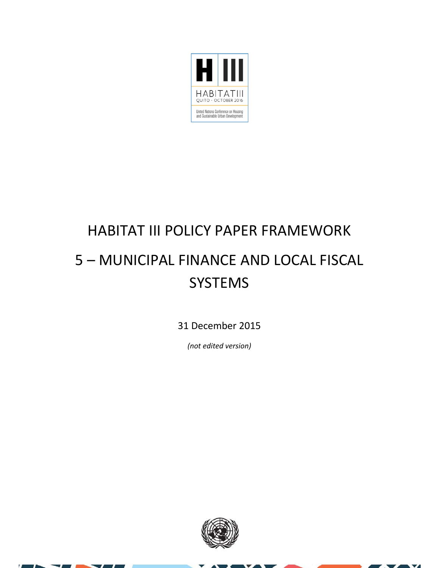

#### HABITAT III POLICY PAPER FRAMEWORK 5 – MUNICIPAL FINANCE AND LOCAL FISCAL **SYSTEMS**

31 December 2015

*(not edited version)*



 $\overline{\mathbf{v}}$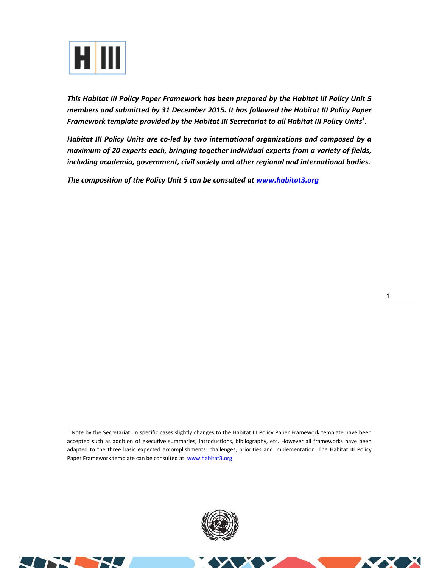

*This Habitat III Policy Paper Framework has been prepared by the Habitat III Policy Unit 5 members and submitted by 31 December 2015. It has followed the Habitat III Policy Paper Framework template provided by the Habitat III Secretariat to all Habitat III Policy Units<sup>1</sup> .* 

*Habitat III Policy Units are co‐led by two international organizations and composed by a maximum of 20 experts each, bringing together individual experts from a variety of fields, including academia, government, civil society and other regional and international bodies.* 

*The composition of the Policy Unit 5 can be consulted at www.habitat3.org* 

<sup>1.</sup> Note by the Secretariat: In specific cases slightly changes to the Habitat III Policy Paper Framework template have been accepted such as addition of executive summaries, introductions, bibliography, etc. However all frameworks have been adapted to the three basic expected accomplishments: challenges, priorities and implementation. The Habitat III Policy Paper Framework template can be consulted at: www.habitat3.org



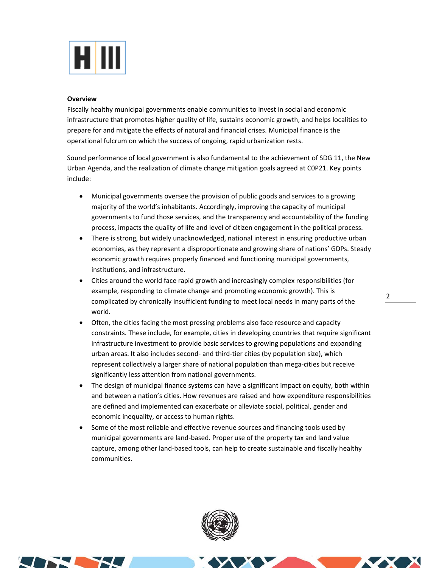

#### **Overview**

Fiscally healthy municipal governments enable communities to invest in social and economic infrastructure that promotes higher quality of life, sustains economic growth, and helps localities to prepare for and mitigate the effects of natural and financial crises. Municipal finance is the operational fulcrum on which the success of ongoing, rapid urbanization rests.

Sound performance of local government is also fundamental to the achievement of SDG 11, the New Urban Agenda, and the realization of climate change mitigation goals agreed at C0P21. Key points include:

- Municipal governments oversee the provision of public goods and services to a growing majority of the world's inhabitants. Accordingly, improving the capacity of municipal governments to fund those services, and the transparency and accountability of the funding process, impacts the quality of life and level of citizen engagement in the political process.
- There is strong, but widely unacknowledged, national interest in ensuring productive urban economies, as they represent a disproportionate and growing share of nations' GDPs. Steady economic growth requires properly financed and functioning municipal governments, institutions, and infrastructure.
- Cities around the world face rapid growth and increasingly complex responsibilities (for example, responding to climate change and promoting economic growth). This is complicated by chronically insufficient funding to meet local needs in many parts of the world.
- Often, the cities facing the most pressing problems also face resource and capacity constraints. These include, for example, cities in developing countries that require significant infrastructure investment to provide basic services to growing populations and expanding urban areas. It also includes second‐ and third‐tier cities (by population size), which represent collectively a larger share of national population than mega-cities but receive significantly less attention from national governments.
- The design of municipal finance systems can have a significant impact on equity, both within and between a nation's cities. How revenues are raised and how expenditure responsibilities are defined and implemented can exacerbate or alleviate social, political, gender and economic inequality, or access to human rights.
- Some of the most reliable and effective revenue sources and financing tools used by municipal governments are land‐based. Proper use of the property tax and land value capture, among other land‐based tools, can help to create sustainable and fiscally healthy communities.



2



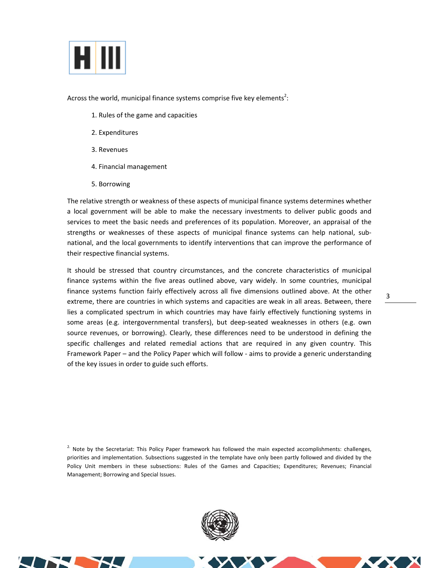

Across the world, municipal finance systems comprise five key elements<sup>2</sup>:

- 1. Rules of the game and capacities
- 2. Expenditures
- 3. Revenues
- 4. Financial management
- 5. Borrowing

The relative strength or weakness of these aspects of municipal finance systems determines whether a local government will be able to make the necessary investments to deliver public goods and services to meet the basic needs and preferences of its population. Moreover, an appraisal of the strengths or weaknesses of these aspects of municipal finance systems can help national, subnational, and the local governments to identify interventions that can improve the performance of their respective financial systems.

It should be stressed that country circumstances, and the concrete characteristics of municipal finance systems within the five areas outlined above, vary widely. In some countries, municipal finance systems function fairly effectively across all five dimensions outlined above. At the other extreme, there are countries in which systems and capacities are weak in all areas. Between, there lies a complicated spectrum in which countries may have fairly effectively functioning systems in some areas (e.g. intergovernmental transfers), but deep-seated weaknesses in others (e.g. own source revenues, or borrowing). Clearly, these differences need to be understood in defining the specific challenges and related remedial actions that are required in any given country. This Framework Paper – and the Policy Paper which will follow ‐ aims to provide a generic understanding of the key issues in order to guide such efforts.

<sup>2.</sup> Note by the Secretariat: This Policy Paper framework has followed the main expected accomplishments: challenges, priorities and implementation. Subsections suggested in the template have only been partly followed and divided by the Policy Unit members in these subsections: Rules of the Games and Capacities; Expenditures; Revenues; Financial Management; Borrowing and Special Issues.





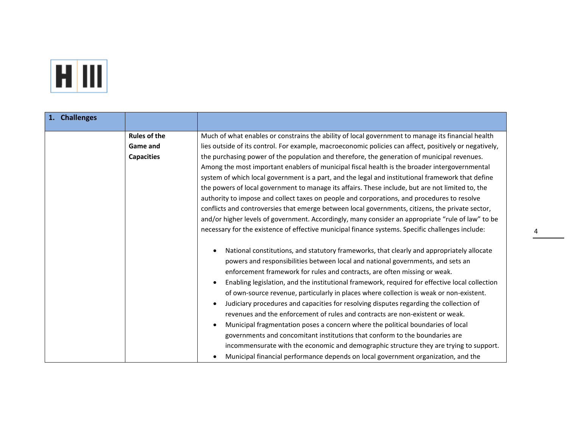

| 1. Challenges |                                                             |                                                                                                                                                                                                                                                                                                                                                                                                                                                                                                                                                                                                                                                                                                                                                                                                                                                                                                                                                                                                                                                                                                                               |
|---------------|-------------------------------------------------------------|-------------------------------------------------------------------------------------------------------------------------------------------------------------------------------------------------------------------------------------------------------------------------------------------------------------------------------------------------------------------------------------------------------------------------------------------------------------------------------------------------------------------------------------------------------------------------------------------------------------------------------------------------------------------------------------------------------------------------------------------------------------------------------------------------------------------------------------------------------------------------------------------------------------------------------------------------------------------------------------------------------------------------------------------------------------------------------------------------------------------------------|
|               | <b>Rules of the</b><br><b>Game and</b><br><b>Capacities</b> | Much of what enables or constrains the ability of local government to manage its financial health<br>lies outside of its control. For example, macroeconomic policies can affect, positively or negatively,<br>the purchasing power of the population and therefore, the generation of municipal revenues.<br>Among the most important enablers of municipal fiscal health is the broader intergovernmental<br>system of which local government is a part, and the legal and institutional framework that define<br>the powers of local government to manage its affairs. These include, but are not limited to, the<br>authority to impose and collect taxes on people and corporations, and procedures to resolve<br>conflicts and controversies that emerge between local governments, citizens, the private sector,<br>and/or higher levels of government. Accordingly, many consider an appropriate "rule of law" to be                                                                                                                                                                                                  |
|               |                                                             | necessary for the existence of effective municipal finance systems. Specific challenges include:<br>National constitutions, and statutory frameworks, that clearly and appropriately allocate<br>$\bullet$<br>powers and responsibilities between local and national governments, and sets an<br>enforcement framework for rules and contracts, are often missing or weak.<br>Enabling legislation, and the institutional framework, required for effective local collection<br>of own-source revenue, particularly in places where collection is weak or non-existent.<br>Judiciary procedures and capacities for resolving disputes regarding the collection of<br>$\bullet$<br>revenues and the enforcement of rules and contracts are non-existent or weak.<br>Municipal fragmentation poses a concern where the political boundaries of local<br>$\bullet$<br>governments and concomitant institutions that conform to the boundaries are<br>incommensurate with the economic and demographic structure they are trying to support.<br>Municipal financial performance depends on local government organization, and the |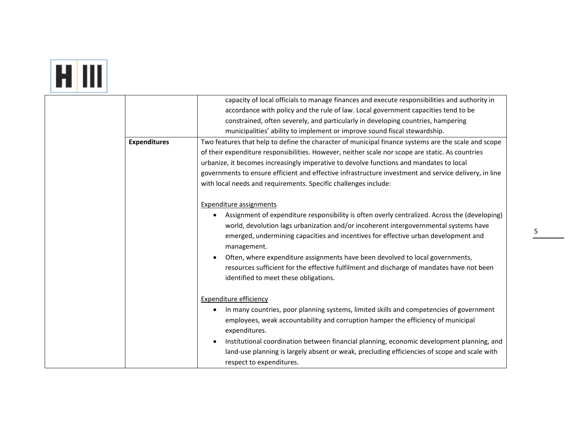# **FIII**

|                     | capacity of local officials to manage finances and execute responsibilities and authority in                                                                                                                                                                                               |
|---------------------|--------------------------------------------------------------------------------------------------------------------------------------------------------------------------------------------------------------------------------------------------------------------------------------------|
|                     | accordance with policy and the rule of law. Local government capacities tend to be                                                                                                                                                                                                         |
|                     | constrained, often severely, and particularly in developing countries, hampering                                                                                                                                                                                                           |
|                     | municipalities' ability to implement or improve sound fiscal stewardship.                                                                                                                                                                                                                  |
| <b>Expenditures</b> | Two features that help to define the character of municipal finance systems are the scale and scope                                                                                                                                                                                        |
|                     | of their expenditure responsibilities. However, neither scale nor scope are static. As countries                                                                                                                                                                                           |
|                     | urbanize, it becomes increasingly imperative to devolve functions and mandates to local                                                                                                                                                                                                    |
|                     | governments to ensure efficient and effective infrastructure investment and service delivery, in line                                                                                                                                                                                      |
|                     | with local needs and requirements. Specific challenges include:                                                                                                                                                                                                                            |
|                     |                                                                                                                                                                                                                                                                                            |
|                     | Expenditure assignments                                                                                                                                                                                                                                                                    |
|                     | Assignment of expenditure responsibility is often overly centralized. Across the (developing)<br>world, devolution lags urbanization and/or incoherent intergovernmental systems have<br>emerged, undermining capacities and incentives for effective urban development and<br>management. |
|                     | Often, where expenditure assignments have been devolved to local governments,                                                                                                                                                                                                              |
|                     | resources sufficient for the effective fulfilment and discharge of mandates have not been<br>identified to meet these obligations.                                                                                                                                                         |
|                     | <b>Expenditure efficiency</b>                                                                                                                                                                                                                                                              |
|                     | In many countries, poor planning systems, limited skills and competencies of government                                                                                                                                                                                                    |
|                     | employees, weak accountability and corruption hamper the efficiency of municipal<br>expenditures.                                                                                                                                                                                          |
|                     | Institutional coordination between financial planning, economic development planning, and<br>land-use planning is largely absent or weak, precluding efficiencies of scope and scale with<br>respect to expenditures.                                                                      |
|                     |                                                                                                                                                                                                                                                                                            |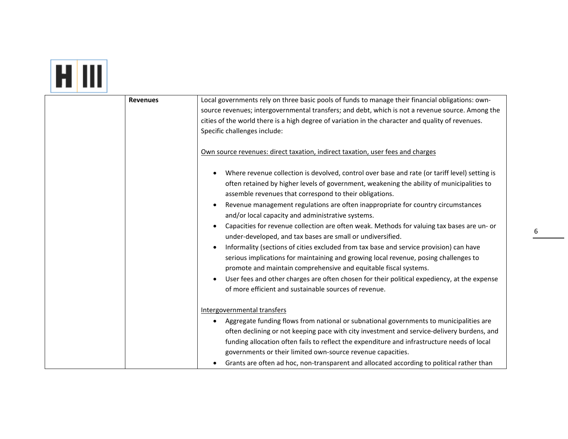| <b>Revenues</b> | Local governments rely on three basic pools of funds to manage their financial obligations: own-<br>source revenues; intergovernmental transfers; and debt, which is not a revenue source. Among the<br>cities of the world there is a high degree of variation in the character and quality of revenues.<br>Specific challenges include:<br>Own source revenues: direct taxation, indirect taxation, user fees and charges<br>Where revenue collection is devolved, control over base and rate (or tariff level) setting is<br>$\bullet$<br>often retained by higher levels of government, weakening the ability of municipalities to<br>assemble revenues that correspond to their obligations.<br>Revenue management regulations are often inappropriate for country circumstances<br>$\bullet$<br>and/or local capacity and administrative systems. |
|-----------------|---------------------------------------------------------------------------------------------------------------------------------------------------------------------------------------------------------------------------------------------------------------------------------------------------------------------------------------------------------------------------------------------------------------------------------------------------------------------------------------------------------------------------------------------------------------------------------------------------------------------------------------------------------------------------------------------------------------------------------------------------------------------------------------------------------------------------------------------------------|
|                 | Capacities for revenue collection are often weak. Methods for valuing tax bases are un- or<br>$\bullet$<br>under-developed, and tax bases are small or undiversified.<br>Informality (sections of cities excluded from tax base and service provision) can have<br>$\bullet$<br>serious implications for maintaining and growing local revenue, posing challenges to<br>promote and maintain comprehensive and equitable fiscal systems.<br>User fees and other charges are often chosen for their political expediency, at the expense<br>$\bullet$<br>of more efficient and sustainable sources of revenue.                                                                                                                                                                                                                                           |
|                 | Intergovernmental transfers<br>Aggregate funding flows from national or subnational governments to municipalities are<br>$\bullet$<br>often declining or not keeping pace with city investment and service-delivery burdens, and<br>funding allocation often fails to reflect the expenditure and infrastructure needs of local<br>governments or their limited own-source revenue capacities.<br>Grants are often ad hoc, non-transparent and allocated according to political rather than                                                                                                                                                                                                                                                                                                                                                             |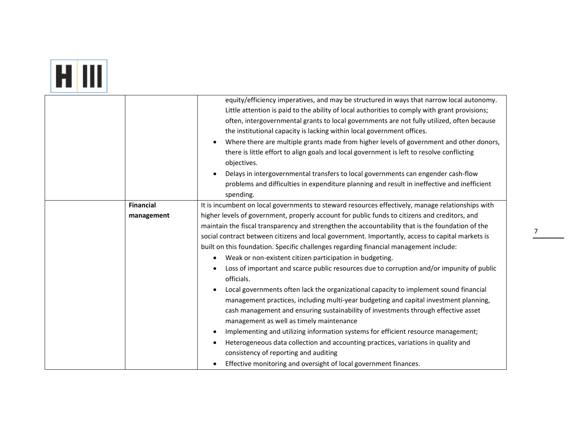## **ETTI**

|                  | equity/efficiency imperatives, and may be structured in ways that narrow local autonomy.<br>Little attention is paid to the ability of local authorities to comply with grant provisions;<br>often, intergovernmental grants to local governments are not fully utilized, often because<br>the institutional capacity is lacking within local government offices.<br>Where there are multiple grants made from higher levels of government and other donors,<br>there is little effort to align goals and local government is left to resolve conflicting<br>objectives.<br>Delays in intergovernmental transfers to local governments can engender cash-flow<br>$\bullet$<br>problems and difficulties in expenditure planning and result in ineffective and inefficient<br>spending. |
|------------------|----------------------------------------------------------------------------------------------------------------------------------------------------------------------------------------------------------------------------------------------------------------------------------------------------------------------------------------------------------------------------------------------------------------------------------------------------------------------------------------------------------------------------------------------------------------------------------------------------------------------------------------------------------------------------------------------------------------------------------------------------------------------------------------|
| <b>Financial</b> | It is incumbent on local governments to steward resources effectively, manage relationships with                                                                                                                                                                                                                                                                                                                                                                                                                                                                                                                                                                                                                                                                                       |
| management       | higher levels of government, properly account for public funds to citizens and creditors, and                                                                                                                                                                                                                                                                                                                                                                                                                                                                                                                                                                                                                                                                                          |
|                  | maintain the fiscal transparency and strengthen the accountability that is the foundation of the                                                                                                                                                                                                                                                                                                                                                                                                                                                                                                                                                                                                                                                                                       |
|                  | social contract between citizens and local government. Importantly, access to capital markets is                                                                                                                                                                                                                                                                                                                                                                                                                                                                                                                                                                                                                                                                                       |
|                  | built on this foundation. Specific challenges regarding financial management include:                                                                                                                                                                                                                                                                                                                                                                                                                                                                                                                                                                                                                                                                                                  |
|                  | Weak or non-existent citizen participation in budgeting.<br>$\bullet$                                                                                                                                                                                                                                                                                                                                                                                                                                                                                                                                                                                                                                                                                                                  |
|                  | Loss of important and scarce public resources due to corruption and/or impunity of public<br>officials.                                                                                                                                                                                                                                                                                                                                                                                                                                                                                                                                                                                                                                                                                |
|                  | Local governments often lack the organizational capacity to implement sound financial<br>management practices, including multi-year budgeting and capital investment planning,<br>cash management and ensuring sustainability of investments through effective asset<br>management as well as timely maintenance                                                                                                                                                                                                                                                                                                                                                                                                                                                                       |
|                  | Implementing and utilizing information systems for efficient resource management;                                                                                                                                                                                                                                                                                                                                                                                                                                                                                                                                                                                                                                                                                                      |
|                  | $\bullet$                                                                                                                                                                                                                                                                                                                                                                                                                                                                                                                                                                                                                                                                                                                                                                              |
|                  | Heterogeneous data collection and accounting practices, variations in quality and                                                                                                                                                                                                                                                                                                                                                                                                                                                                                                                                                                                                                                                                                                      |
|                  | consistency of reporting and auditing                                                                                                                                                                                                                                                                                                                                                                                                                                                                                                                                                                                                                                                                                                                                                  |
|                  | Effective monitoring and oversight of local government finances.                                                                                                                                                                                                                                                                                                                                                                                                                                                                                                                                                                                                                                                                                                                       |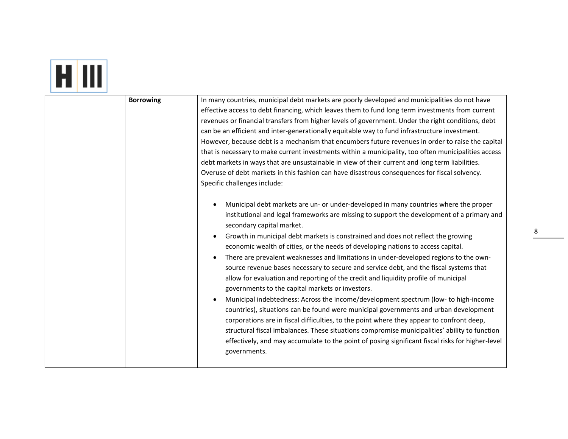| <b>Borrowing</b> | In many countries, municipal debt markets are poorly developed and municipalities do not have<br>effective access to debt financing, which leaves them to fund long term investments from current<br>revenues or financial transfers from higher levels of government. Under the right conditions, debt<br>can be an efficient and inter-generationally equitable way to fund infrastructure investment.<br>However, because debt is a mechanism that encumbers future revenues in order to raise the capital<br>that is necessary to make current investments within a municipality, too often municipalities access<br>debt markets in ways that are unsustainable in view of their current and long term liabilities.<br>Overuse of debt markets in this fashion can have disastrous consequences for fiscal solvency.<br>Specific challenges include:<br>Municipal debt markets are un- or under-developed in many countries where the proper<br>institutional and legal frameworks are missing to support the development of a primary and<br>secondary capital market.<br>Growth in municipal debt markets is constrained and does not reflect the growing<br>economic wealth of cities, or the needs of developing nations to access capital.<br>There are prevalent weaknesses and limitations in under-developed regions to the own-<br>source revenue bases necessary to secure and service debt, and the fiscal systems that<br>allow for evaluation and reporting of the credit and liquidity profile of municipal<br>governments to the capital markets or investors.<br>Municipal indebtedness: Across the income/development spectrum (low- to high-income<br>countries), situations can be found were municipal governments and urban development<br>corporations are in fiscal difficulties, to the point where they appear to confront deep,<br>structural fiscal imbalances. These situations compromise municipalities' ability to function<br>effectively, and may accumulate to the point of posing significant fiscal risks for higher-level<br>governments. |
|------------------|-------------------------------------------------------------------------------------------------------------------------------------------------------------------------------------------------------------------------------------------------------------------------------------------------------------------------------------------------------------------------------------------------------------------------------------------------------------------------------------------------------------------------------------------------------------------------------------------------------------------------------------------------------------------------------------------------------------------------------------------------------------------------------------------------------------------------------------------------------------------------------------------------------------------------------------------------------------------------------------------------------------------------------------------------------------------------------------------------------------------------------------------------------------------------------------------------------------------------------------------------------------------------------------------------------------------------------------------------------------------------------------------------------------------------------------------------------------------------------------------------------------------------------------------------------------------------------------------------------------------------------------------------------------------------------------------------------------------------------------------------------------------------------------------------------------------------------------------------------------------------------------------------------------------------------------------------------------------------------------------------------------------------------------------------------------------------------------|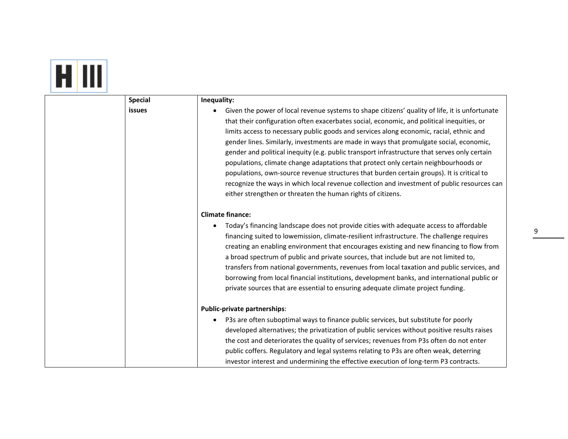#### HIII

| <b>Inequalit</b> |  |
|------------------|--|
|                  |  |

| <b>Special</b> | Inequality:                                                                                                                                                                                                                                                                                                                                                                                                                                                                                                                                                                                                                                                                                                                                                                                                                         |
|----------------|-------------------------------------------------------------------------------------------------------------------------------------------------------------------------------------------------------------------------------------------------------------------------------------------------------------------------------------------------------------------------------------------------------------------------------------------------------------------------------------------------------------------------------------------------------------------------------------------------------------------------------------------------------------------------------------------------------------------------------------------------------------------------------------------------------------------------------------|
| issues         | Given the power of local revenue systems to shape citizens' quality of life, it is unfortunate<br>that their configuration often exacerbates social, economic, and political inequities, or<br>limits access to necessary public goods and services along economic, racial, ethnic and<br>gender lines. Similarly, investments are made in ways that promulgate social, economic,<br>gender and political inequity (e.g. public transport infrastructure that serves only certain<br>populations, climate change adaptations that protect only certain neighbourhoods or<br>populations, own-source revenue structures that burden certain groups). It is critical to<br>recognize the ways in which local revenue collection and investment of public resources can<br>either strengthen or threaten the human rights of citizens. |
|                | <b>Climate finance:</b><br>Today's financing landscape does not provide cities with adequate access to affordable<br>financing suited to lowemission, climate-resilient infrastructure. The challenge requires<br>creating an enabling environment that encourages existing and new financing to flow from<br>a broad spectrum of public and private sources, that include but are not limited to,<br>transfers from national governments, revenues from local taxation and public services, and<br>borrowing from local financial institutions, development banks, and international public or<br>private sources that are essential to ensuring adequate climate project funding.                                                                                                                                                 |
|                | Public-private partnerships:<br>P3s are often suboptimal ways to finance public services, but substitute for poorly<br>٠<br>developed alternatives; the privatization of public services without positive results raises<br>the cost and deteriorates the quality of services; revenues from P3s often do not enter<br>public coffers. Regulatory and legal systems relating to P3s are often weak, deterring<br>investor interest and undermining the effective execution of long-term P3 contracts.                                                                                                                                                                                                                                                                                                                               |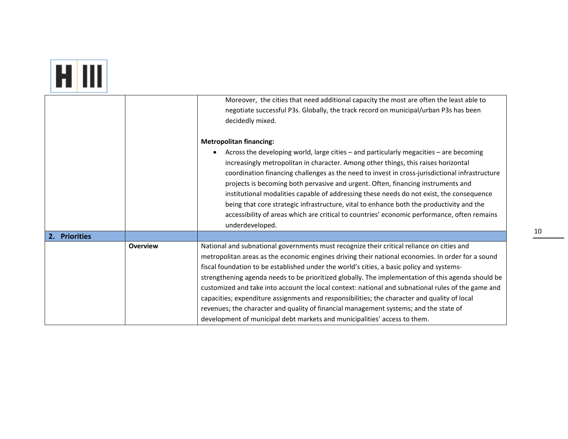|--|

|               |                 | Moreover, the cities that need additional capacity the most are often the least able to<br>negotiate successful P3s. Globally, the track record on municipal/urban P3s has been<br>decidedly mixed.                                                                                                                                                                                                                                                                                                                                                                                                                                                                                                                                                                           |
|---------------|-----------------|-------------------------------------------------------------------------------------------------------------------------------------------------------------------------------------------------------------------------------------------------------------------------------------------------------------------------------------------------------------------------------------------------------------------------------------------------------------------------------------------------------------------------------------------------------------------------------------------------------------------------------------------------------------------------------------------------------------------------------------------------------------------------------|
|               |                 | <b>Metropolitan financing:</b>                                                                                                                                                                                                                                                                                                                                                                                                                                                                                                                                                                                                                                                                                                                                                |
|               |                 | Across the developing world, large cities – and particularly megacities – are becoming<br>$\bullet$<br>increasingly metropolitan in character. Among other things, this raises horizontal<br>coordination financing challenges as the need to invest in cross-jurisdictional infrastructure<br>projects is becoming both pervasive and urgent. Often, financing instruments and<br>institutional modalities capable of addressing these needs do not exist, the consequence<br>being that core strategic infrastructure, vital to enhance both the productivity and the<br>accessibility of areas which are critical to countries' economic performance, often remains<br>underdeveloped.                                                                                     |
| 2. Priorities |                 |                                                                                                                                                                                                                                                                                                                                                                                                                                                                                                                                                                                                                                                                                                                                                                               |
|               | <b>Overview</b> | National and subnational governments must recognize their critical reliance on cities and<br>metropolitan areas as the economic engines driving their national economies. In order for a sound<br>fiscal foundation to be established under the world's cities, a basic policy and systems-<br>strengthening agenda needs to be prioritized globally. The implementation of this agenda should be<br>customized and take into account the local context: national and subnational rules of the game and<br>capacities; expenditure assignments and responsibilities; the character and quality of local<br>revenues; the character and quality of financial management systems; and the state of<br>development of municipal debt markets and municipalities' access to them. |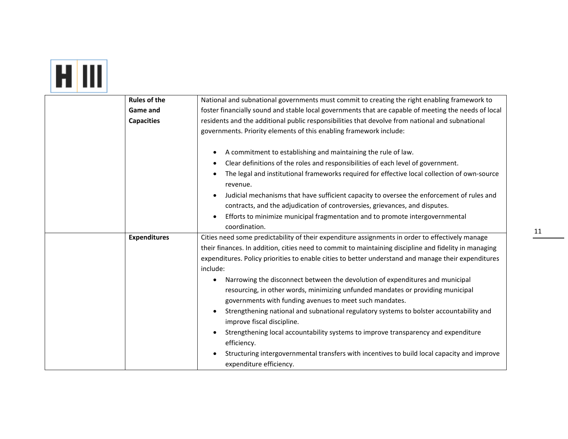# **ET IIII**

| <b>Rules of the</b> | National and subnational governments must commit to creating the right enabling framework to                           |
|---------------------|------------------------------------------------------------------------------------------------------------------------|
| Game and            | foster financially sound and stable local governments that are capable of meeting the needs of local                   |
| <b>Capacities</b>   | residents and the additional public responsibilities that devolve from national and subnational                        |
|                     | governments. Priority elements of this enabling framework include:                                                     |
|                     |                                                                                                                        |
|                     | A commitment to establishing and maintaining the rule of law.<br>$\bullet$                                             |
|                     | Clear definitions of the roles and responsibilities of each level of government.<br>٠                                  |
|                     | The legal and institutional frameworks required for effective local collection of own-source<br>$\bullet$<br>revenue.  |
|                     | Judicial mechanisms that have sufficient capacity to oversee the enforcement of rules and<br>$\bullet$                 |
|                     | contracts, and the adjudication of controversies, grievances, and disputes.                                            |
|                     | Efforts to minimize municipal fragmentation and to promote intergovernmental                                           |
|                     | coordination.                                                                                                          |
| <b>Expenditures</b> | Cities need some predictability of their expenditure assignments in order to effectively manage                        |
|                     | their finances. In addition, cities need to commit to maintaining discipline and fidelity in managing                  |
|                     | expenditures. Policy priorities to enable cities to better understand and manage their expenditures                    |
|                     | include:                                                                                                               |
|                     | Narrowing the disconnect between the devolution of expenditures and municipal<br>٠                                     |
|                     | resourcing, in other words, minimizing unfunded mandates or providing municipal                                        |
|                     | governments with funding avenues to meet such mandates.                                                                |
|                     | Strengthening national and subnational regulatory systems to bolster accountability and                                |
|                     | improve fiscal discipline.                                                                                             |
|                     | Strengthening local accountability systems to improve transparency and expenditure<br>$\bullet$                        |
|                     | efficiency.                                                                                                            |
|                     | Structuring intergovernmental transfers with incentives to build local capacity and improve<br>expenditure efficiency. |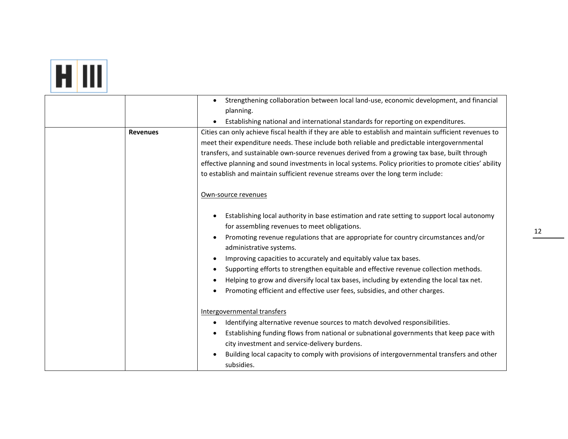## **ET III**

| <b>Revenues</b> | Strengthening collaboration between local land-use, economic development, and financial<br>planning.<br>Establishing national and international standards for reporting on expenditures.<br>Cities can only achieve fiscal health if they are able to establish and maintain sufficient revenues to<br>meet their expenditure needs. These include both reliable and predictable intergovernmental<br>transfers, and sustainable own-source revenues derived from a growing tax base, built through<br>effective planning and sound investments in local systems. Policy priorities to promote cities' ability<br>to establish and maintain sufficient revenue streams over the long term include: |
|-----------------|----------------------------------------------------------------------------------------------------------------------------------------------------------------------------------------------------------------------------------------------------------------------------------------------------------------------------------------------------------------------------------------------------------------------------------------------------------------------------------------------------------------------------------------------------------------------------------------------------------------------------------------------------------------------------------------------------|
|                 | Own-source revenues<br>Establishing local authority in base estimation and rate setting to support local autonomy<br>٠<br>for assembling revenues to meet obligations.<br>Promoting revenue regulations that are appropriate for country circumstances and/or<br>٠<br>administrative systems.<br>Improving capacities to accurately and equitably value tax bases.<br>٠<br>Supporting efforts to strengthen equitable and effective revenue collection methods.<br>Helping to grow and diversify local tax bases, including by extending the local tax net.<br>Promoting efficient and effective user fees, subsidies, and other charges.                                                          |
|                 | Intergovernmental transfers<br>Identifying alternative revenue sources to match devolved responsibilities.<br>٠<br>Establishing funding flows from national or subnational governments that keep pace with<br>$\bullet$<br>city investment and service-delivery burdens.<br>Building local capacity to comply with provisions of intergovernmental transfers and other<br>subsidies.                                                                                                                                                                                                                                                                                                               |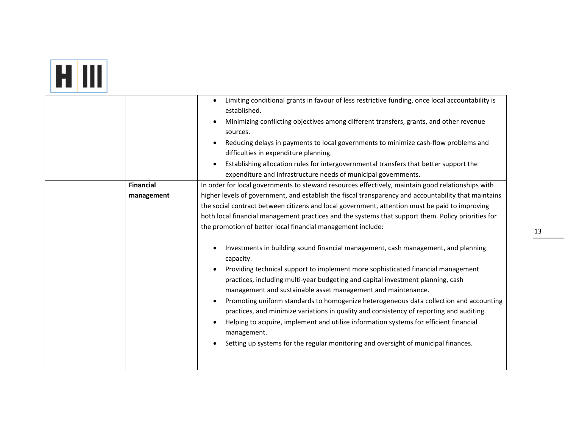|--|

|                  | Limiting conditional grants in favour of less restrictive funding, once local accountability is<br>established.<br>Minimizing conflicting objectives among different transfers, grants, and other revenue<br>$\bullet$<br>sources.<br>Reducing delays in payments to local governments to minimize cash-flow problems and<br>difficulties in expenditure planning.<br>Establishing allocation rules for intergovernmental transfers that better support the |
|------------------|-------------------------------------------------------------------------------------------------------------------------------------------------------------------------------------------------------------------------------------------------------------------------------------------------------------------------------------------------------------------------------------------------------------------------------------------------------------|
|                  | expenditure and infrastructure needs of municipal governments.                                                                                                                                                                                                                                                                                                                                                                                              |
| <b>Financial</b> | In order for local governments to steward resources effectively, maintain good relationships with                                                                                                                                                                                                                                                                                                                                                           |
| management       | higher levels of government, and establish the fiscal transparency and accountability that maintains<br>the social contract between citizens and local government, attention must be paid to improving                                                                                                                                                                                                                                                      |
|                  | both local financial management practices and the systems that support them. Policy priorities for                                                                                                                                                                                                                                                                                                                                                          |
|                  | the promotion of better local financial management include:                                                                                                                                                                                                                                                                                                                                                                                                 |
|                  | Investments in building sound financial management, cash management, and planning<br>$\bullet$                                                                                                                                                                                                                                                                                                                                                              |
|                  | capacity.                                                                                                                                                                                                                                                                                                                                                                                                                                                   |
|                  | Providing technical support to implement more sophisticated financial management<br>$\bullet$                                                                                                                                                                                                                                                                                                                                                               |
|                  | practices, including multi-year budgeting and capital investment planning, cash                                                                                                                                                                                                                                                                                                                                                                             |
|                  | management and sustainable asset management and maintenance.                                                                                                                                                                                                                                                                                                                                                                                                |
|                  | Promoting uniform standards to homogenize heterogeneous data collection and accounting<br>$\bullet$<br>practices, and minimize variations in quality and consistency of reporting and auditing.                                                                                                                                                                                                                                                             |
|                  | Helping to acquire, implement and utilize information systems for efficient financial<br>$\bullet$                                                                                                                                                                                                                                                                                                                                                          |
|                  | management.                                                                                                                                                                                                                                                                                                                                                                                                                                                 |
|                  | Setting up systems for the regular monitoring and oversight of municipal finances.                                                                                                                                                                                                                                                                                                                                                                          |
|                  |                                                                                                                                                                                                                                                                                                                                                                                                                                                             |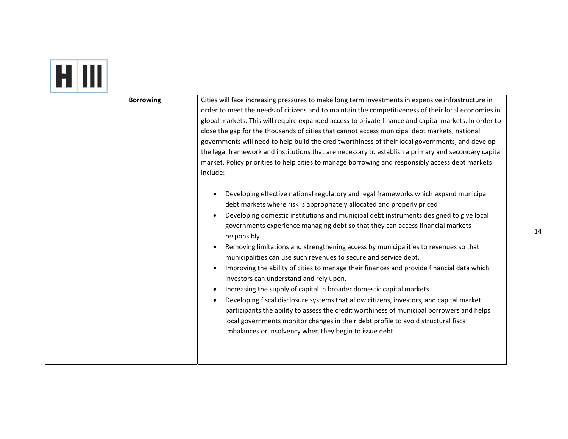| <b>Borrowing</b> | Cities will face increasing pressures to make long term investments in expensive infrastructure in<br>order to meet the needs of citizens and to maintain the competitiveness of their local economies in<br>global markets. This will require expanded access to private finance and capital markets. In order to<br>close the gap for the thousands of cities that cannot access municipal debt markets, national<br>governments will need to help build the creditworthiness of their local governments, and develop<br>the legal framework and institutions that are necessary to establish a primary and secondary capital<br>market. Policy priorities to help cities to manage borrowing and responsibly access debt markets<br>include:<br>Developing effective national regulatory and legal frameworks which expand municipal<br>$\bullet$<br>debt markets where risk is appropriately allocated and properly priced<br>Developing domestic institutions and municipal debt instruments designed to give local<br>$\bullet$<br>governments experience managing debt so that they can access financial markets<br>responsibly.<br>Removing limitations and strengthening access by municipalities to revenues so that<br>$\bullet$<br>municipalities can use such revenues to secure and service debt.<br>Improving the ability of cities to manage their finances and provide financial data which<br>investors can understand and rely upon.<br>Increasing the supply of capital in broader domestic capital markets.<br>$\bullet$<br>Developing fiscal disclosure systems that allow citizens, investors, and capital market<br>$\bullet$<br>participants the ability to assess the credit worthiness of municipal borrowers and helps<br>local governments monitor changes in their debt profile to avoid structural fiscal<br>imbalances or insolvency when they begin to issue debt. |
|------------------|-----------------------------------------------------------------------------------------------------------------------------------------------------------------------------------------------------------------------------------------------------------------------------------------------------------------------------------------------------------------------------------------------------------------------------------------------------------------------------------------------------------------------------------------------------------------------------------------------------------------------------------------------------------------------------------------------------------------------------------------------------------------------------------------------------------------------------------------------------------------------------------------------------------------------------------------------------------------------------------------------------------------------------------------------------------------------------------------------------------------------------------------------------------------------------------------------------------------------------------------------------------------------------------------------------------------------------------------------------------------------------------------------------------------------------------------------------------------------------------------------------------------------------------------------------------------------------------------------------------------------------------------------------------------------------------------------------------------------------------------------------------------------------------------------------------------------------------------------------------------------------------------------------|

an boo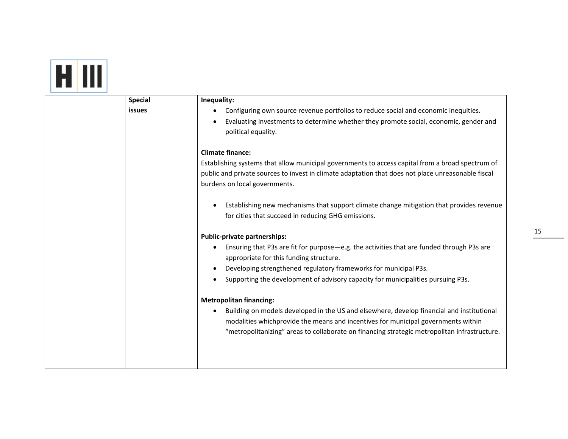| <b>Special</b> | Inequality:                                                                                                                                                                                            |
|----------------|--------------------------------------------------------------------------------------------------------------------------------------------------------------------------------------------------------|
| <b>issues</b>  | Configuring own source revenue portfolios to reduce social and economic inequities.                                                                                                                    |
|                | Evaluating investments to determine whether they promote social, economic, gender and<br>political equality.                                                                                           |
|                | <b>Climate finance:</b>                                                                                                                                                                                |
|                | Establishing systems that allow municipal governments to access capital from a broad spectrum of<br>public and private sources to invest in climate adaptation that does not place unreasonable fiscal |
|                | burdens on local governments.                                                                                                                                                                          |
|                | Establishing new mechanisms that support climate change mitigation that provides revenue                                                                                                               |
|                | for cities that succeed in reducing GHG emissions.                                                                                                                                                     |
|                | Public-private partnerships:                                                                                                                                                                           |
|                | Ensuring that P3s are fit for purpose-e.g. the activities that are funded through P3s are<br>appropriate for this funding structure.                                                                   |
|                | Developing strengthened regulatory frameworks for municipal P3s.                                                                                                                                       |
|                | Supporting the development of advisory capacity for municipalities pursuing P3s.                                                                                                                       |
|                | <b>Metropolitan financing:</b>                                                                                                                                                                         |
|                | Building on models developed in the US and elsewhere, develop financial and institutional<br>modalities whichprovide the means and incentives for municipal governments within                         |
|                | "metropolitanizing" areas to collaborate on financing strategic metropolitan infrastructure.                                                                                                           |
|                |                                                                                                                                                                                                        |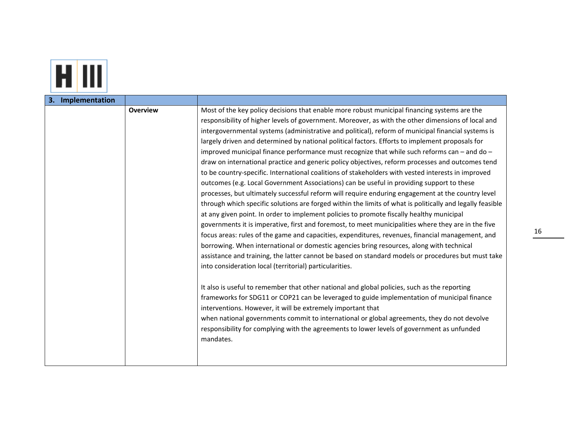

| 3. Implementation |                 |                                                                                                           |
|-------------------|-----------------|-----------------------------------------------------------------------------------------------------------|
|                   | <b>Overview</b> | Most of the key policy decisions that enable more robust municipal financing systems are the              |
|                   |                 | responsibility of higher levels of government. Moreover, as with the other dimensions of local and        |
|                   |                 | intergovernmental systems (administrative and political), reform of municipal financial systems is        |
|                   |                 | largely driven and determined by national political factors. Efforts to implement proposals for           |
|                   |                 | improved municipal finance performance must recognize that while such reforms can - and do -              |
|                   |                 | draw on international practice and generic policy objectives, reform processes and outcomes tend          |
|                   |                 | to be country-specific. International coalitions of stakeholders with vested interests in improved        |
|                   |                 | outcomes (e.g. Local Government Associations) can be useful in providing support to these                 |
|                   |                 | processes, but ultimately successful reform will require enduring engagement at the country level         |
|                   |                 | through which specific solutions are forged within the limits of what is politically and legally feasible |
|                   |                 | at any given point. In order to implement policies to promote fiscally healthy municipal                  |
|                   |                 | governments it is imperative, first and foremost, to meet municipalities where they are in the five       |
|                   |                 | focus areas: rules of the game and capacities, expenditures, revenues, financial management, and          |
|                   |                 | borrowing. When international or domestic agencies bring resources, along with technical                  |
|                   |                 | assistance and training, the latter cannot be based on standard models or procedures but must take        |
|                   |                 | into consideration local (territorial) particularities.                                                   |
|                   |                 |                                                                                                           |
|                   |                 | It also is useful to remember that other national and global policies, such as the reporting              |
|                   |                 | frameworks for SDG11 or COP21 can be leveraged to guide implementation of municipal finance               |
|                   |                 | interventions. However, it will be extremely important that                                               |
|                   |                 | when national governments commit to international or global agreements, they do not devolve               |
|                   |                 | responsibility for complying with the agreements to lower levels of government as unfunded                |
|                   |                 | mandates.                                                                                                 |
|                   |                 |                                                                                                           |
|                   |                 |                                                                                                           |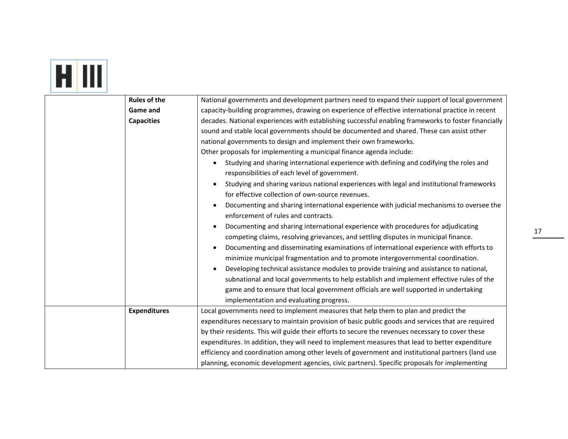## **FILID**

| <b>Rules of the</b> | National governments and development partners need to expand their support of local government                                           |
|---------------------|------------------------------------------------------------------------------------------------------------------------------------------|
| Game and            | capacity-building programmes, drawing on experience of effective international practice in recent                                        |
| <b>Capacities</b>   | decades. National experiences with establishing successful enabling frameworks to foster financially                                     |
|                     | sound and stable local governments should be documented and shared. These can assist other                                               |
|                     | national governments to design and implement their own frameworks.                                                                       |
|                     | Other proposals for implementing a municipal finance agenda include:                                                                     |
|                     | Studying and sharing international experience with defining and codifying the roles and<br>responsibilities of each level of government. |
|                     | Studying and sharing various national experiences with legal and institutional frameworks                                                |
|                     | for effective collection of own-source revenues.                                                                                         |
|                     | Documenting and sharing international experience with judicial mechanisms to oversee the                                                 |
|                     | enforcement of rules and contracts.                                                                                                      |
|                     | Documenting and sharing international experience with procedures for adjudicating                                                        |
|                     | competing claims, resolving grievances, and settling disputes in municipal finance.                                                      |
|                     | Documenting and disseminating examinations of international experience with efforts to                                                   |
|                     | minimize municipal fragmentation and to promote intergovernmental coordination.                                                          |
|                     | Developing technical assistance modules to provide training and assistance to national,                                                  |
|                     | subnational and local governments to help establish and implement effective rules of the                                                 |
|                     | game and to ensure that local government officials are well supported in undertaking                                                     |
|                     | implementation and evaluating progress.                                                                                                  |
| <b>Expenditures</b> | Local governments need to implement measures that help them to plan and predict the                                                      |
|                     | expenditures necessary to maintain provision of basic public goods and services that are required                                        |
|                     | by their residents. This will guide their efforts to secure the revenues necessary to cover these                                        |
|                     | expenditures. In addition, they will need to implement measures that lead to better expenditure                                          |
|                     | efficiency and coordination among other levels of government and institutional partners (land use                                        |
|                     | planning, economic development agencies, civic partners). Specific proposals for implementing                                            |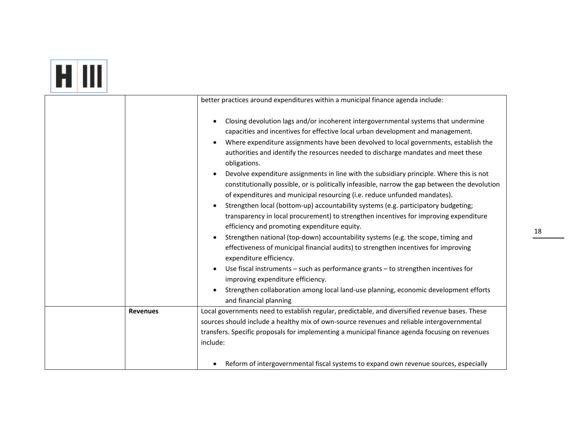# **HIII**

|                 | better practices around expenditures within a municipal finance agenda include:                                                                                                                                                                                                                                                                                                                                                                                                                                                                                                                                                                                                                                                                                                                                                                                                                                                                                                                                                                                                                                                                                                                                                                                                                                                                                          |
|-----------------|--------------------------------------------------------------------------------------------------------------------------------------------------------------------------------------------------------------------------------------------------------------------------------------------------------------------------------------------------------------------------------------------------------------------------------------------------------------------------------------------------------------------------------------------------------------------------------------------------------------------------------------------------------------------------------------------------------------------------------------------------------------------------------------------------------------------------------------------------------------------------------------------------------------------------------------------------------------------------------------------------------------------------------------------------------------------------------------------------------------------------------------------------------------------------------------------------------------------------------------------------------------------------------------------------------------------------------------------------------------------------|
|                 | Closing devolution lags and/or incoherent intergovernmental systems that undermine<br>capacities and incentives for effective local urban development and management.<br>Where expenditure assignments have been devolved to local governments, establish the<br>$\bullet$<br>authorities and identify the resources needed to discharge mandates and meet these<br>obligations.<br>Devolve expenditure assignments in line with the subsidiary principle. Where this is not<br>constitutionally possible, or is politically infeasible, narrow the gap between the devolution<br>of expenditures and municipal resourcing (i.e. reduce unfunded mandates).<br>Strengthen local (bottom-up) accountability systems (e.g. participatory budgeting;<br>$\bullet$<br>transparency in local procurement) to strengthen incentives for improving expenditure<br>efficiency and promoting expenditure equity.<br>Strengthen national (top-down) accountability systems (e.g. the scope, timing and<br>effectiveness of municipal financial audits) to strengthen incentives for improving<br>expenditure efficiency.<br>Use fiscal instruments - such as performance grants - to strengthen incentives for<br>$\bullet$<br>improving expenditure efficiency.<br>Strengthen collaboration among local land-use planning, economic development efforts<br>and financial planning |
|                 |                                                                                                                                                                                                                                                                                                                                                                                                                                                                                                                                                                                                                                                                                                                                                                                                                                                                                                                                                                                                                                                                                                                                                                                                                                                                                                                                                                          |
| <b>Revenues</b> | Local governments need to establish regular, predictable, and diversified revenue bases. These                                                                                                                                                                                                                                                                                                                                                                                                                                                                                                                                                                                                                                                                                                                                                                                                                                                                                                                                                                                                                                                                                                                                                                                                                                                                           |
|                 | sources should include a healthy mix of own-source revenues and reliable intergovernmental                                                                                                                                                                                                                                                                                                                                                                                                                                                                                                                                                                                                                                                                                                                                                                                                                                                                                                                                                                                                                                                                                                                                                                                                                                                                               |
|                 | transfers. Specific proposals for implementing a municipal finance agenda focusing on revenues                                                                                                                                                                                                                                                                                                                                                                                                                                                                                                                                                                                                                                                                                                                                                                                                                                                                                                                                                                                                                                                                                                                                                                                                                                                                           |
|                 | include:                                                                                                                                                                                                                                                                                                                                                                                                                                                                                                                                                                                                                                                                                                                                                                                                                                                                                                                                                                                                                                                                                                                                                                                                                                                                                                                                                                 |
|                 | Reform of intergovernmental fiscal systems to expand own revenue sources, especially                                                                                                                                                                                                                                                                                                                                                                                                                                                                                                                                                                                                                                                                                                                                                                                                                                                                                                                                                                                                                                                                                                                                                                                                                                                                                     |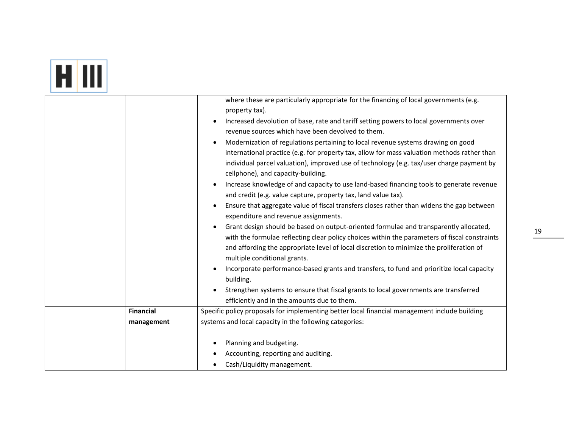|--|

| where these are particularly appropriate for the financing of local governments (e.g.<br>property tax).<br>Increased devolution of base, rate and tariff setting powers to local governments over<br>$\bullet$<br>revenue sources which have been devolved to them.<br>Modernization of regulations pertaining to local revenue systems drawing on good<br>$\bullet$<br>international practice (e.g. for property tax, allow for mass valuation methods rather than<br>individual parcel valuation), improved use of technology (e.g. tax/user charge payment by<br>cellphone), and capacity-building.<br>Increase knowledge of and capacity to use land-based financing tools to generate revenue<br>$\bullet$<br>and credit (e.g. value capture, property tax, land value tax).<br>Ensure that aggregate value of fiscal transfers closes rather than widens the gap between<br>$\bullet$<br>expenditure and revenue assignments.<br>Grant design should be based on output-oriented formulae and transparently allocated,<br>with the formulae reflecting clear policy choices within the parameters of fiscal constraints<br>and affording the appropriate level of local discretion to minimize the proliferation of<br>multiple conditional grants.<br>Incorporate performance-based grants and transfers, to fund and prioritize local capacity<br>$\bullet$<br>building.<br>Strengthen systems to ensure that fiscal grants to local governments are transferred<br>efficiently and in the amounts due to them.<br><b>Financial</b><br>Specific policy proposals for implementing better local financial management include building<br>systems and local capacity in the following categories:<br>management<br>Planning and budgeting.<br>$\bullet$<br>Accounting, reporting and auditing.<br>Cash/Liquidity management. |  |  |
|------------------------------------------------------------------------------------------------------------------------------------------------------------------------------------------------------------------------------------------------------------------------------------------------------------------------------------------------------------------------------------------------------------------------------------------------------------------------------------------------------------------------------------------------------------------------------------------------------------------------------------------------------------------------------------------------------------------------------------------------------------------------------------------------------------------------------------------------------------------------------------------------------------------------------------------------------------------------------------------------------------------------------------------------------------------------------------------------------------------------------------------------------------------------------------------------------------------------------------------------------------------------------------------------------------------------------------------------------------------------------------------------------------------------------------------------------------------------------------------------------------------------------------------------------------------------------------------------------------------------------------------------------------------------------------------------------------------------------------------------------------------------------------------------------------------------------------|--|--|
|                                                                                                                                                                                                                                                                                                                                                                                                                                                                                                                                                                                                                                                                                                                                                                                                                                                                                                                                                                                                                                                                                                                                                                                                                                                                                                                                                                                                                                                                                                                                                                                                                                                                                                                                                                                                                                    |  |  |
|                                                                                                                                                                                                                                                                                                                                                                                                                                                                                                                                                                                                                                                                                                                                                                                                                                                                                                                                                                                                                                                                                                                                                                                                                                                                                                                                                                                                                                                                                                                                                                                                                                                                                                                                                                                                                                    |  |  |
|                                                                                                                                                                                                                                                                                                                                                                                                                                                                                                                                                                                                                                                                                                                                                                                                                                                                                                                                                                                                                                                                                                                                                                                                                                                                                                                                                                                                                                                                                                                                                                                                                                                                                                                                                                                                                                    |  |  |
|                                                                                                                                                                                                                                                                                                                                                                                                                                                                                                                                                                                                                                                                                                                                                                                                                                                                                                                                                                                                                                                                                                                                                                                                                                                                                                                                                                                                                                                                                                                                                                                                                                                                                                                                                                                                                                    |  |  |
|                                                                                                                                                                                                                                                                                                                                                                                                                                                                                                                                                                                                                                                                                                                                                                                                                                                                                                                                                                                                                                                                                                                                                                                                                                                                                                                                                                                                                                                                                                                                                                                                                                                                                                                                                                                                                                    |  |  |
|                                                                                                                                                                                                                                                                                                                                                                                                                                                                                                                                                                                                                                                                                                                                                                                                                                                                                                                                                                                                                                                                                                                                                                                                                                                                                                                                                                                                                                                                                                                                                                                                                                                                                                                                                                                                                                    |  |  |
|                                                                                                                                                                                                                                                                                                                                                                                                                                                                                                                                                                                                                                                                                                                                                                                                                                                                                                                                                                                                                                                                                                                                                                                                                                                                                                                                                                                                                                                                                                                                                                                                                                                                                                                                                                                                                                    |  |  |
|                                                                                                                                                                                                                                                                                                                                                                                                                                                                                                                                                                                                                                                                                                                                                                                                                                                                                                                                                                                                                                                                                                                                                                                                                                                                                                                                                                                                                                                                                                                                                                                                                                                                                                                                                                                                                                    |  |  |
|                                                                                                                                                                                                                                                                                                                                                                                                                                                                                                                                                                                                                                                                                                                                                                                                                                                                                                                                                                                                                                                                                                                                                                                                                                                                                                                                                                                                                                                                                                                                                                                                                                                                                                                                                                                                                                    |  |  |
|                                                                                                                                                                                                                                                                                                                                                                                                                                                                                                                                                                                                                                                                                                                                                                                                                                                                                                                                                                                                                                                                                                                                                                                                                                                                                                                                                                                                                                                                                                                                                                                                                                                                                                                                                                                                                                    |  |  |
|                                                                                                                                                                                                                                                                                                                                                                                                                                                                                                                                                                                                                                                                                                                                                                                                                                                                                                                                                                                                                                                                                                                                                                                                                                                                                                                                                                                                                                                                                                                                                                                                                                                                                                                                                                                                                                    |  |  |
|                                                                                                                                                                                                                                                                                                                                                                                                                                                                                                                                                                                                                                                                                                                                                                                                                                                                                                                                                                                                                                                                                                                                                                                                                                                                                                                                                                                                                                                                                                                                                                                                                                                                                                                                                                                                                                    |  |  |
|                                                                                                                                                                                                                                                                                                                                                                                                                                                                                                                                                                                                                                                                                                                                                                                                                                                                                                                                                                                                                                                                                                                                                                                                                                                                                                                                                                                                                                                                                                                                                                                                                                                                                                                                                                                                                                    |  |  |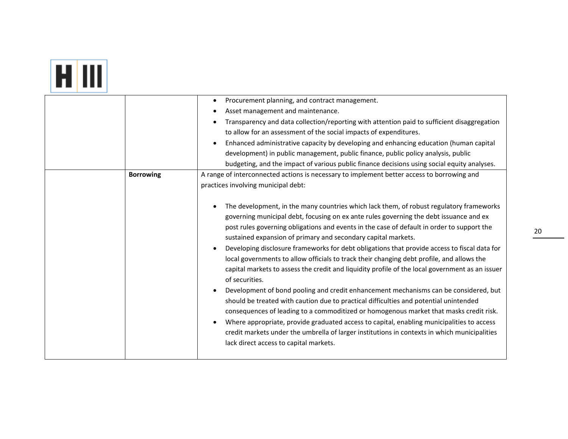|--|

|                  | Procurement planning, and contract management.<br>$\bullet$                                               |
|------------------|-----------------------------------------------------------------------------------------------------------|
|                  | Asset management and maintenance.<br>$\bullet$                                                            |
|                  | Transparency and data collection/reporting with attention paid to sufficient disaggregation               |
|                  | to allow for an assessment of the social impacts of expenditures.                                         |
|                  | Enhanced administrative capacity by developing and enhancing education (human capital                     |
|                  | development) in public management, public finance, public policy analysis, public                         |
|                  | budgeting, and the impact of various public finance decisions using social equity analyses.               |
| <b>Borrowing</b> | A range of interconnected actions is necessary to implement better access to borrowing and                |
|                  | practices involving municipal debt:                                                                       |
|                  |                                                                                                           |
|                  | The development, in the many countries which lack them, of robust regulatory frameworks<br>$\bullet$      |
|                  | governing municipal debt, focusing on ex ante rules governing the debt issuance and ex                    |
|                  | post rules governing obligations and events in the case of default in order to support the                |
|                  | sustained expansion of primary and secondary capital markets.                                             |
|                  | Developing disclosure frameworks for debt obligations that provide access to fiscal data for<br>$\bullet$ |
|                  | local governments to allow officials to track their changing debt profile, and allows the                 |
|                  | capital markets to assess the credit and liquidity profile of the local government as an issuer           |
|                  | of securities.                                                                                            |
|                  | Development of bond pooling and credit enhancement mechanisms can be considered, but<br>$\bullet$         |
|                  | should be treated with caution due to practical difficulties and potential unintended                     |
|                  | consequences of leading to a commoditized or homogenous market that masks credit risk.                    |
|                  | Where appropriate, provide graduated access to capital, enabling municipalities to access<br>$\bullet$    |
|                  | credit markets under the umbrella of larger institutions in contexts in which municipalities              |
|                  | lack direct access to capital markets.                                                                    |
|                  |                                                                                                           |